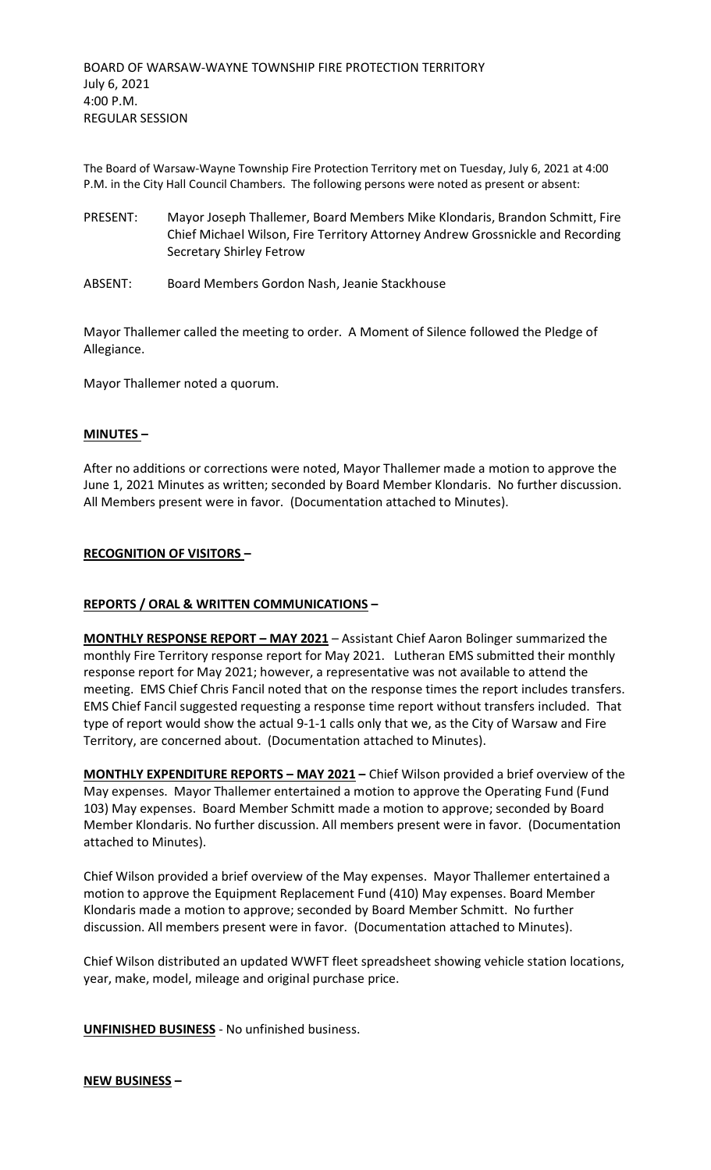The Board of Warsaw-Wayne Township Fire Protection Territory met on Tuesday, July 6, 2021 at 4:00 P.M. in the City Hall Council Chambers. The following persons were noted as present or absent:

- PRESENT: Mayor Joseph Thallemer, Board Members Mike Klondaris, Brandon Schmitt, Fire Chief Michael Wilson, Fire Territory Attorney Andrew Grossnickle and Recording Secretary Shirley Fetrow
- ABSENT: Board Members Gordon Nash, Jeanie Stackhouse

Mayor Thallemer called the meeting to order. A Moment of Silence followed the Pledge of Allegiance.

Mayor Thallemer noted a quorum.

## **MINUTES –**

After no additions or corrections were noted, Mayor Thallemer made a motion to approve the June 1, 2021 Minutes as written; seconded by Board Member Klondaris. No further discussion. All Members present were in favor. (Documentation attached to Minutes).

## **RECOGNITION OF VISITORS –**

## **REPORTS / ORAL & WRITTEN COMMUNICATIONS –**

**MONTHLY RESPONSE REPORT – MAY 2021** – Assistant Chief Aaron Bolinger summarized the monthly Fire Territory response report for May 2021. Lutheran EMS submitted their monthly response report for May 2021; however, a representative was not available to attend the meeting. EMS Chief Chris Fancil noted that on the response times the report includes transfers. EMS Chief Fancil suggested requesting a response time report without transfers included. That type of report would show the actual 9-1-1 calls only that we, as the City of Warsaw and Fire Territory, are concerned about. (Documentation attached to Minutes).

**MONTHLY EXPENDITURE REPORTS – MAY 2021 –** Chief Wilson provided a brief overview of the May expenses. Mayor Thallemer entertained a motion to approve the Operating Fund (Fund 103) May expenses. Board Member Schmitt made a motion to approve; seconded by Board Member Klondaris. No further discussion. All members present were in favor. (Documentation attached to Minutes).

Chief Wilson provided a brief overview of the May expenses. Mayor Thallemer entertained a motion to approve the Equipment Replacement Fund (410) May expenses. Board Member Klondaris made a motion to approve; seconded by Board Member Schmitt. No further discussion. All members present were in favor. (Documentation attached to Minutes).

Chief Wilson distributed an updated WWFT fleet spreadsheet showing vehicle station locations, year, make, model, mileage and original purchase price.

**UNFINISHED BUSINESS** - No unfinished business.

## **NEW BUSINESS –**